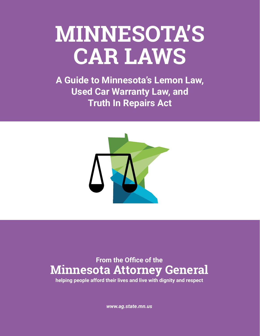# **MINNESOTA'S CAR LAWS**

**A Guide to Minnesota's Lemon Law, Used Car Warranty Law, and Truth In Repairs Act**



# **From the Office of the Minnesota Attorney General**

**helping people afford their lives and live with dignity and respect**

*www.ag.state.mn.us*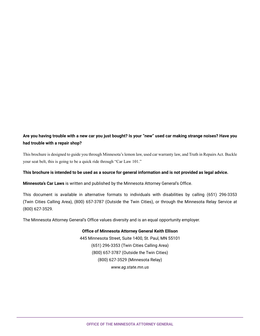#### **Are you having trouble with a new car you just bought? Is your "new" used car making strange noises? Have you had trouble with a repair shop?**

This brochure is designed to guide you through Minnesota's lemon law, used car warranty law, and Truth in Repairs Act. Buckle your seat belt, this is going to be a quick ride through "Car Law 101."

#### **This brochure is intended to be used as a source for general information and is not provided as legal advice.**

**Minnesota's Car Laws** is written and published by the Minnesota Attorney General's Office.

This document is available in alternative formats to individuals with disabilities by calling (651) 296-3353 (Twin Cities Calling Area), (800) 657-3787 (Outside the Twin Cities), or through the Minnesota Relay Service at (800) 627-3529.

The Minnesota Attorney General's Office values diversity and is an equal opportunity employer.

#### **Office of Minnesota Attorney General Keith Ellison**

445 Minnesota Street, Suite 1400, St. Paul, MN 55101 (651) 296-3353 (Twin Cities Calling Area) (800) 657-3787 (Outside the Twin Cities) (800) 627-3529 (Minnesota Relay) *www.ag.state.mn.us*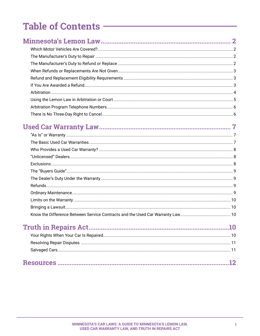# 

#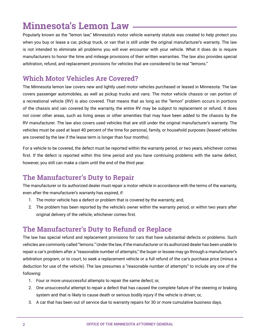# <span id="page-3-0"></span>**Minnesota's Lemon Law**

Popularly known as the "lemon law," Minnesota's motor vehicle warranty statute was created to help protect you when you buy or lease a car, pickup truck, or van that is still under the original manufacturer's warranty. The law is not intended to eliminate all problems you will ever encounter with your vehicle. What it does do is require manufacturers to honor the time and mileage provisions of their written warranties. The law also provides special arbitration, refund, and replacement provisions for vehicles that are considered to be real "lemons."

#### **Which Motor Vehicles Are Covered?**

The Minnesota lemon law covers new and lightly used motor vehicles purchased or leased in Minnesota. The law covers passenger automobiles, as well as pickup trucks and vans. The motor vehicle chassis or van portion of a recreational vehicle (RV) is also covered. That means that as long as the "lemon" problem occurs in portions of the chassis and van covered by the warranty, the entire RV may be subject to replacement or refund. It does not cover other areas, such as living areas or other amenities that may have been added to the chassis by the RV manufacturer. The law also covers used vehicles that are still under the original manufacturer's warranty. The vehicles must be used at least 40 percent of the time for personal, family, or household purposes (leased vehicles are covered by the law if the lease term is longer than four months).

For a vehicle to be covered, the defect must be reported within the warranty period, or two years, whichever comes first. If the defect is reported within this time period and you have continuing problems with the same defect, however, you still can make a claim until the end of the third year.

## **The Manufacturer's Duty to Repair**

The manufacturer or its authorized dealer must repair a motor vehicle in accordance with the terms of the warranty, even after the manufacturer's warranty has expired, if:

- 1. The motor vehicle has a defect or problem that is covered by the warranty; and,
- 2. The problem has been reported by the vehicle's owner within the warranty period, or within two years after original delivery of the vehicle, whichever comes first.

## **The Manufacturer's Duty to Refund or Replace**

The law has special refund and replacement provisions for cars that have substantial defects or problems. Such vehicles are commonly called "lemons." Under the law, if the manufacturer or its authorized dealer has been unable to repair a car's problem after a "reasonable number of attempts," the buyer or lessee may go through a manufacturer's arbitration program, or to court, to seek a replacement vehicle or a full refund of the car's purchase price (minus a deduction for use of the vehicle). The law presumes a "reasonable number of attempts" to include any one of the following:

- 1. Four or more unsuccessful attempts to repair the same defect; or,
- 2. One unsuccessful attempt to repair a defect that has caused the complete failure of the steering or braking system and that is likely to cause death or serious bodily injury if the vehicle is driven; or,
- 3. A car that has been out of service due to warranty repairs for 30 or more cumulative business days.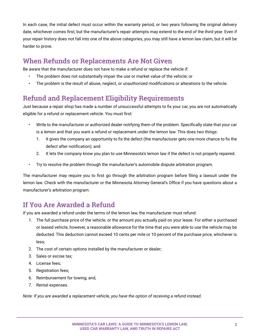<span id="page-4-0"></span>In each case, the initial defect must occur within the warranty period, or two years following the original delivery date, whichever comes first, but the manufacturer's repair attempts may extend to the end of the third year. Even if your repair history does not fall into one of the above categories, you may still have a lemon law claim, but it will be harder to prove.

## **When Refunds or Replacements Are Not Given**

Be aware that the manufacturer does not have to make a refund or replace the vehicle if:

- The problem does not substantially impair the use or market value of the vehicle; or
- The problem is the result of abuse, neglect, or unauthorized modifications or alterations to the vehicle.

## **Refund and Replacement Eligibility Requirements**

Just because a repair shop has made a number of unsuccessful attempts to fix your car, you are not automatically eligible for a refund or replacement vehicle. You must first:

- Write to the manufacturer or authorized dealer notifying them of the problem. Specifically state that your car is a lemon and that you want a refund or replacement under the lemon law. This does two things:
	- 1. It gives the company an opportunity to fix the defect (the manufacturer gets one more chance to fix the defect after notification); and
	- 2. It lets the company know you plan to use Minnesota's lemon law if the defect is not properly repaired.
- Try to resolve the problem through the manufacturer's automobile dispute arbitration program.

The manufacturer may require you to first go through the arbitration program before filing a lawsuit under the lemon law. Check with the manufacturer or the Minnesota Attorney General's Office if you have questions about a manufacturer's arbitration program.

## **If You Are Awarded a Refund**

If you are awarded a refund under the terms of the lemon law, the manufacturer must refund:

- 1. The full purchase price of the vehicle, or the amount you actually paid on your lease. For either a purchased or leased vehicle, however, a reasonable allowance for the time that you were able to use the vehicle may be deducted. This deduction cannot exceed 10 cents per mile or 10 percent of the purchase price, whichever is less;
- 2. The cost of certain options installed by the manufacturer or dealer;
- 3. Sales or excise tax;
- 4. License fees;
- 5. Registration fees;
- 6. Reimbursement for towing; and,
- 7. Rental expenses.

*Note: If you are awarded a replacement vehicle, you have the option of receiving a refund instead.*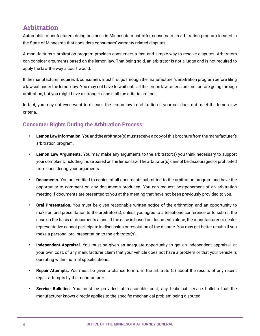#### <span id="page-5-0"></span>**Arbitration**

Automobile manufacturers doing business in Minnesota must offer consumers an arbitration program located in the State of Minnesota that considers consumers' warranty related disputes.

A manufacturer's arbitration program provides consumers a fast and simple way to resolve disputes. Arbitrators can consider arguments based on the lemon law. That being said, an arbitrator is not a judge and is not required to apply the law the way a court would.

If the manufacturer requires it, consumers must first go through the manufacturer's arbitration program before filing a lawsuit under the lemon law. You may not have to wait until all the lemon law criteria are met before going through arbitration, but you might have a stronger case if all the criteria are met.

In fact, you may not even want to discuss the lemon law in arbitration if your car does not meet the lemon law criteria.

#### **Consumer Rights During the Arbitration Process:**

- **• Lemon Law Information.** You and the arbitrator(s) must receive a copy of this brochure from the manufacturer's arbitration program.
- **• Lemon Law Arguments.** You may make any arguments to the arbitrator(s) you think necessary to support your complaint, including those based on the lemon law. The arbitrator(s) cannot be discouraged or prohibited from considering your arguments.
- **• Documents.** You are entitled to copies of all documents submitted to the arbitration program and have the opportunity to comment on any documents produced. You can request postponement of an arbitration meeting if documents are presented to you at the meeting that have not been previously provided to you.
- **• Oral Presentation.** You must be given reasonable written notice of the arbitration and an opportunity to make an oral presentation to the arbitrator(s), unless you agree to a telephone conference or to submit the case on the basis of documents alone. If the case is based on documents alone, the manufacturer or dealer representative cannot participate in discussion or resolution of the dispute. You may get better results if you make a personal oral presentation to the arbitrator(s).
- **• Independent Appraisal.** You must be given an adequate opportunity to get an independent appraisal, at your own cost, of any manufacturer claim that your vehicle does not have a problem or that your vehicle is operating within normal specifications.
- **• Repair Attempts.** You must be given a chance to inform the arbitrator(s) about the results of any recent repair attempts by the manufacturer.
- **• Service Bulletins.** You must be provided, at reasonable cost, any technical service bulletin that the manufacturer knows directly applies to the specific mechanical problem being disputed.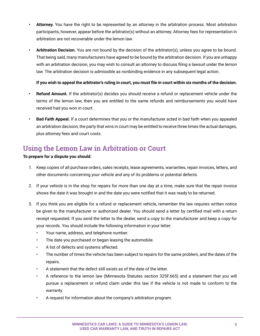- <span id="page-6-0"></span>**• Attorney.** You have the right to be represented by an attorney in the arbitration process. Most arbitration participants, however, appear before the arbitrator(s) without an attorney. Attorney fees for representation in arbitration are not recoverable under the lemon law.
- **• Arbitration Decision.** You are not bound by the decision of the arbitrator(s), unless you agree to be bound. That being said, many manufacturers have agreed to be bound by the arbitration decision. If you are unhappy with an arbitration decision, you may wish to consult an attorney to discuss filing a lawsuit under the lemon law. The arbitration decision is admissible as nonbinding evidence in any subsequent legal action.

#### **If you wish to appeal the arbitrator's ruling in court, you must file in court within six months of the decision.**

- **• Refund Amount.** If the arbitrator(s) decides you should receive a refund or replacement vehicle under the terms of the lemon law, then you are entitled to the same refunds and reimbursements you would have received had you won in court.
- **• Bad Faith Appeal.** If a court determines that you or the manufacturer acted in bad faith when you appealed an arbitration decision, the party that wins in court may be entitled to receive three times the actual damages, plus attorney fees and court costs.

## **Using the Lemon Law in Arbitration or Court**

#### **To prepare for a dispute you should:**

- 1. Keep copies of all purchase orders, sales receipts, lease agreements, warranties, repair invoices, letters, and other documents concerning your vehicle and any of its problems or potential defects.
- 2. If your vehicle is in the shop for repairs for more than one day at a time, make sure that the repair invoice shows the date it was brought in and the date you were notified that it was ready to be returned.
- 3. If you think you are eligible for a refund or replacement vehicle, remember the law requires written notice be given to the manufacturer or authorized dealer. You should send a letter by certified mail with a return receipt requested. If you send the letter to the dealer, send a copy to the manufacturer and keep a copy for your records. You should include the following information in your letter:
	- Your name, address, and telephone number.
	- The date you purchased or began leasing the automobile.
	- A list of defects and systems affected.
	- The number of times the vehicle has been subject to repairs for the same problem, and the dates of the repairs.
	- A statement that the defect still exists as of the date of the letter.
	- A reference to the lemon law (Minnesota Statutes section 325F.665) and a statement that you will pursue a replacement or refund claim under this law if the vehicle is not made to conform to the warranty.
	- A request for information about the company's arbitration program.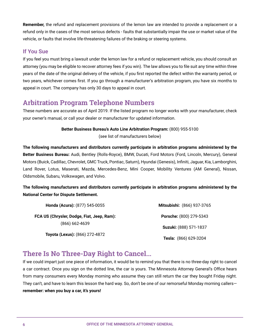<span id="page-7-0"></span>**Remember,** the refund and replacement provisions of the lemon law are intended to provide a replacement or a refund only in the cases of the most serious defects - faults that substantially impair the use or market value of the vehicle, or faults that involve life-threatening failures of the braking or steering systems.

#### **If You Sue**

If you feel you must bring a lawsuit under the lemon law for a refund or replacement vehicle, you should consult an attorney (you may be eligible to recover attorney fees if you win). The law allows you to file suit any time within three years of the date of the original delivery of the vehicle, if you first reported the defect within the warranty period, or two years, whichever comes first. If you go through a manufacturer's arbitration program, you have six months to appeal in court. The company has only 30 days to appeal in court.

#### **Arbitration Program Telephone Numbers**

These numbers are accurate as of April 2019. If the listed program no longer works with your manufacturer, check your owner's manual, or call your dealer or manufacturer for updated information.

#### **Better Business Bureau's Auto Line Arbitration Program:** (800) 955-5100

(see list of manufacturers below)

**The following manufacturers and distributors currently participate in arbitration programs administered by the Better Business Bureau:** Audi, Bentley (Rolls-Royce), BMW, Ducati, Ford Motors (Ford, Lincoln, Mercury), General Motors (Buick, Cadillac, Chevrolet, GMC Truck, Pontiac, Saturn), Hyundai (Genesis), Infiniti, Jaguar, Kia, Lamborghini, Land Rover, Lotus, Maserati, Mazda, Mercedes-Benz, Mini Cooper, Mobility Ventures (AM General), Nissan, Oldsmobile, Subaru, Volkswagen, and Volvo.

#### **The following manufacturers and distributors currently participate in arbitration programs administered by the National Center for Dispute Settlement.**

| Honda (Acura): (877) 545-0055              | Mitsubishi: (866) 937-3765 |
|--------------------------------------------|----------------------------|
| FCA US (Chrysler, Dodge, Fiat, Jeep, Ram): | Porsche: (800) 279-5343    |
| $(866) 662 - 4639$                         | Suzuki: (888) 571-1837     |
| Toyota (Lexus): (866) 272-4872             | Tesla: (866) 629-3204      |

## **There Is No Three-Day Right to Cancel...**

If we could impart just one piece of information, it would be to remind you that there is no three-day right to cancel a car contract. Once you sign on the dotted line, the car is yours. The Minnesota Attorney General's Office hears from many consumers every Monday morning who assume they can still return the car they bought Friday night. They can't, and have to learn this lesson the hard way. So, don't be one of our remorseful Monday morning callers **remember: when you buy a car, it's yours!**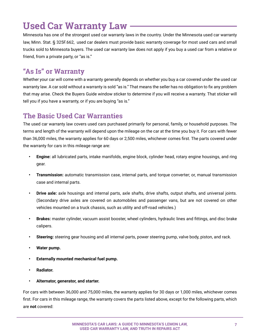# <span id="page-8-0"></span>**Used Car Warranty Law**

Minnesota has one of the strongest used car warranty laws in the country. Under the Minnesota used car warranty law, Minn. Stat. § 325F.662, used car dealers must provide basic warranty coverage for most used cars and small trucks sold to Minnesota buyers. The used car warranty law does not apply if you buy a used car from a relative or friend, from a private party, or "as is."

## **"As Is" or Warranty**

Whether your car will come with a warranty generally depends on whether you buy a car covered under the used car warranty law. A car sold without a warranty is sold "as is." That means the seller has no obligation to fix any problem that may arise. Check the Buyers Guide window sticker to determine if you will receive a warranty. That sticker will tell you if you have a warranty, or if you are buying "as is."

## **The Basic Used Car Warranties**

The used car warranty law covers used cars purchased primarily for personal, family, or household purposes. The terms and length of the warranty will depend upon the mileage on the car at the time you buy it. For cars with fewer than 36,000 miles, the warranty applies for 60 days or 2,500 miles, whichever comes first. The parts covered under the warranty for cars in this mileage range are:

- **• Engine:** all lubricated parts, intake manifolds, engine block, cylinder head, rotary engine housings, and ring gear.
- **• Transmission:** automatic transmission case, internal parts, and torque converter; or, manual transmission case and internal parts.
- **• Drive axle:** axle housings and internal parts, axle shafts, drive shafts, output shafts, and universal joints. (Secondary drive axles are covered on automobiles and passenger vans, but are not covered on other vehicles mounted on a truck chassis, such as utility and off-road vehicles.)
- **• Brakes:** master cylinder, vacuum assist booster, wheel cylinders, hydraulic lines and fittings, and disc brake calipers.
- **• Steering:** steering gear housing and all internal parts, power steering pump, valve body, piston, and rack.
- **• Water pump.**
- **• Externally mounted mechanical fuel pump.**
- **• Radiator.**
- **• Alternator, generator, and starter.**

For cars with between 36,000 and 75,000 miles, the warranty applies for 30 days or 1,000 miles, whichever comes first. For cars in this mileage range, the warranty covers the parts listed above, except for the following parts, which are **not** covered: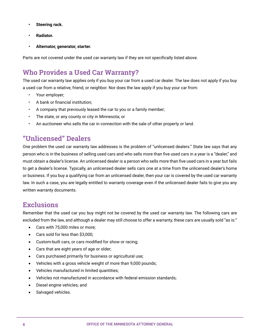- <span id="page-9-0"></span>**• Steering rack.**
- **• Radiator.**
- **• Alternator, generator, starter.**

Parts are not covered under the used car warranty law if they are not specifically listed above.

## **Who Provides a Used Car Warranty?**

The used car warranty law applies only if you buy your car from a used car dealer. The law does not apply if you buy a used car from a relative, friend, or neighbor. Nor does the law apply if you buy your car from:

- Your employer;
- A bank or financial institution;
- A company that previously leased the car to you or a family member;
- The state, or any county or city in Minnesota; or
- An auctioneer who sells the car in connection with the sale of other property or land.

## **"Unlicensed" Dealers**

One problem the used car warranty law addresses is the problem of "unlicensed dealers." State law says that any person who is in the business of selling used cars and who sells more than five used cars in a year is a "dealer," and must obtain a dealer's license. An unlicensed dealer is a person who sells more than five used cars in a year but fails to get a dealer's license. Typically, an unlicensed dealer sells cars one at a time from the unlicensed dealer's home or business. If you buy a qualifying car from an unlicensed dealer, then your car is covered by the used car warranty law. In such a case, you are legally entitled to warranty coverage even if the unlicensed dealer fails to give you any written warranty documents.

#### **Exclusions**

Remember that the used car you buy might not be covered by the used car warranty law. The following cars are excluded from the law, and although a dealer may still choose to offer a warranty, these cars are usually sold "as is:"

- • Cars with 75,000 miles or more;
- • Cars sold for less than \$3,000;
- Custom-built cars, or cars modified for show or racing;
- Cars that are eight years of age or older;
- Cars purchased primarily for business or agricultural use;
- Vehicles with a gross vehicle weight of more than 9,000 pounds;
- Vehicles manufactured in limited quantities;
- Vehicles not manufactured in accordance with federal emission standards;
- Diesel engine vehicles; and
- Salvaged vehicles.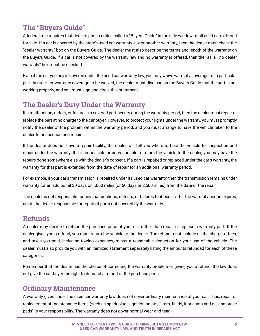## <span id="page-10-0"></span>**The "Buyers Guide"**

A federal rule requires that dealers post a notice called a "Buyers Guide" in the side window of all used cars offered for sale. If a car is covered by the state's used car warranty law or another warranty, then the dealer must check the "dealer warranty" box on the Buyers Guide. The dealer must also describe the terms and length of the warranty on the Buyers Guide. If a car is not covered by the warranty law and no warranty is offered, then the "as is—no dealer warranty" box must be checked.

Even if the car you buy is covered under the used car warranty law, you may waive warranty coverage for a particular part. In order for warranty coverage to be waived, the dealer must disclose on the Buyers Guide that the part is not working properly, and you must sign and circle this statement.

## **The Dealer's Duty Under the Warranty**

If a malfunction, defect, or failure in a covered part occurs during the warranty period, then the dealer must repair or replace the part at no charge to the car buyer. However, to protect your rights under the warranty, you must promptly notify the dealer of the problem within the warranty period, and you must arrange to have the vehicle taken to the dealer for inspection and repair.

If the dealer does not have a repair facility, the dealer will tell you where to take the vehicle for inspection and repair under the warranty. If it is impossible or unreasonable to return the vehicle to the dealer, you may have the repairs done somewhere else with the dealer's consent. If a part is repaired or replaced under the car's warranty, the warranty for that part is extended from the date of repair for an additional warranty period.

For example, if your car's transmission is repaired under its used car warranty, then the transmission remains under warranty for an additional 30 days or 1,000 miles (or 60 days or 2,500 miles) from the date of the repair.

The dealer is not responsible for any malfunctions, defects, or failures that occur after the warranty period expires, nor is the dealer responsible for repair of parts not covered by the warranty.

## **Refunds**

A dealer may decide to refund the purchase price of your car, rather than repair or replace a warranty part. If the dealer gives you a refund, you must return the vehicle to the dealer. The refund must include all the charges , fees, and taxes you paid, including towing expenses, minus a reasonable deduction for your use of the vehicle. The dealer must also provide you with an itemized statement separately listing the amounts refunded for each of these categories.

Remember that the dealer has the choice of correcting the warranty problem or giving you a refund; the law does not give the car buyer the right to demand a refund of the purchase price.

## **Ordinary Maintenance**

A warranty given under the used car warranty law does not cover ordinary maintenance of your car. Thus, repair or replacement of maintenance items (such as spark plugs, ignition points, filters, fluids, lubricants and oil, and brake pads) is your responsibility. The warranty does not cover normal wear and tear.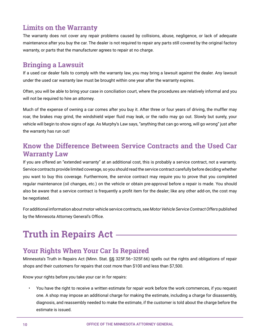## <span id="page-11-0"></span>**Limits on the Warranty**

The warranty does not cover any repair problems caused by collisions, abuse, negligence, or lack of adequate maintenance after you buy the car. The dealer is not required to repair any parts still covered by the original factory warranty, or parts that the manufacturer agrees to repair at no charge.

#### **Bringing a Lawsuit**

If a used car dealer fails to comply with the warranty law, you may bring a lawsuit against the dealer. Any lawsuit under the used car warranty law must be brought within one year after the warranty expires.

Often, you will be able to bring your case in conciliation court, where the procedures are relatively informal and you will not be required to hire an attorney.

Much of the expense of owning a car comes after you buy it. After three or four years of driving, the muffler may roar, the brakes may grind, the windshield wiper fluid may leak, or the radio may go out. Slowly but surely, your vehicle will begin to show signs of age. As Murphy's Law says, "anything that can go wrong, will go wrong" just after the warranty has run out!

## **Know the Difference Between Service Contracts and the Used Car Warranty Law**

If you are offered an "extended warranty" at an additional cost, this is probably a service contract, not a warranty. Service contracts provide limited coverage, so you should read the service contract carefully before deciding whether you want to buy this coverage. Furthermore, the service contract may require you to prove that you completed regular maintenance (oil changes, etc.) on the vehicle or obtain pre-approval before a repair is made. You should also be aware that a service contract is frequently a profit item for the dealer; like any other add-on, the cost may be negotiated.

For additional information about motor vehicle service contracts, see *Motor Vehicle Service Contract Offers* published by the Minnesota Attorney General's Office.

# **Truth in Repairs Act**

## **Your Rights When Your Car Is Repaired**

Minnesota's Truth in Repairs Act (Minn. Stat. §§ 325F.56–325F.66) spells out the rights and obligations of repair shops and their customers for repairs that cost more than \$100 and less than \$7,500.

Know your rights before you take your car in for repairs:

• You have the right to receive a written estimate for repair work before the work commences, if you request one. A shop may impose an additional charge for making the estimate, including a charge for disassembly, diagnosis, and reassembly needed to make the estimate, if the customer is told about the charge before the estimate is issued.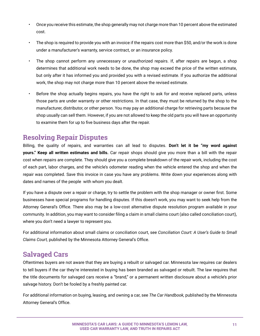- <span id="page-12-0"></span>• Once you receive this estimate, the shop generally may not charge more than 10 percent above the estimated cost.
- The shop is required to provide you with an invoice if the repairs cost more than \$50, and/or the work is done under a manufacturer's warranty, service contract, or an insurance policy.
- The shop cannot perform any unnecessary or unauthorized repairs. If, after repairs are begun, a shop determines that additional work needs to be done, the shop may exceed the price of the written estimate, but only after it has informed you and provided you with a revised estimate. If you authorize the additional work, the shop may not charge more than 10 percent above the revised estimate.
- Before the shop actually begins repairs, you have the right to ask for and receive replaced parts, unless those parts are under warranty or other restrictions. In that case, they must be returned by the shop to the manufacturer, distributor, or other person. You may pay an additional charge for retrieving parts because the shop usually can sell them. However, if you are not allowed to keep the old parts you will have an opportunity to examine them for up to five business days after the repair.

## **Resolving Repair Disputes**

Billing, the quality of repairs, and warranties can all lead to disputes. **Don't let it be "my word against yours." Keep all written estimates and bills.** Car repair shops should give you more than a bill with the repair cost when repairs are complete. They should give you a complete breakdown of the repair work, including the cost of each part, labor charges, and the vehicle's odometer reading when the vehicle entered the shop and when the repair was completed. Save this invoice in case you have any problems. Write down your experiences along with dates and names of the people with whom you dealt.

If you have a dispute over a repair or charge, try to settle the problem with the shop manager or owner first. Some businesses have special programs for handling disputes. If this doesn't work, you may want to seek help from the Attorney General's Office. There also may be a low-cost alternative dispute resolution program available in your community. In addition, you may want to consider filing a claim in small claims court (also called conciliation court), where you don't need a lawyer to represent you.

For additional information about small claims or conciliation court, see *Conciliation Court: A User's Guide to Small Claims Court,* published by the Minnesota Attorney General's Office.

#### **Salvaged Cars**

Oftentimes buyers are not aware that they are buying a rebuilt or salvaged car. Minnesota law requires car dealers to tell buyers if the car they're interested in buying has been branded as salvaged or rebuilt. The law requires that the title documents for salvaged cars receive a "brand," or a permanent written disclosure about a vehicle's prior salvage history. Don't be fooled by a freshly painted car.

For additional information on buying, leasing, and owning a car, see *The Car Handbook,* published by the Minnesota Attorney General's Office.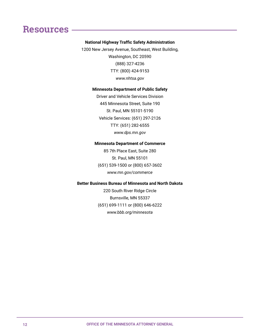## <span id="page-13-0"></span>**Resources**

#### **National Highway Traffic Safety Administration**

1200 New Jersey Avenue, Southeast, West Building, Washington, DC 20590 (888) 327-4236 TTY: (800) 424-9153 *www.nhtsa.gov*

#### **Minnesota Department of Public Safety**

Driver and Vehicle Services Division 445 Minnesota Street, Suite 190 St. Paul, MN 55101-5190 Vehicle Services: (651) 297-2126 TTY: (651) 282-6555 *www.dps.mn.gov*

#### **Minnesota Department of Commerce**

85 7th Place East, Suite 280 St. Paul, MN 55101 (651) 539-1500 or (800) 657-3602 *www.mn.gov/commerce*

#### **Better Business Bureau of Minnesota and North Dakota**

220 South River Ridge Circle Burnsville, MN 55337 (651) 699-1111 or (800) 646-6222 *www.bbb.org/minnesota*